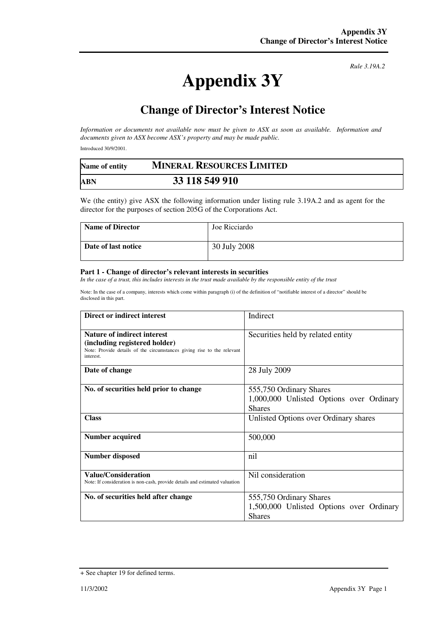## **Appendix 3Y**

*Rule 3.19A.2*

## **Change of Director's Interest Notice**

*Information or documents not available now must be given to ASX as soon as available. Information and documents given to ASX become ASX's property and may be made public.* 

Introduced 30/9/2001.

| Name of entity | <b>MINERAL RESOURCES LIMITED</b> |  |
|----------------|----------------------------------|--|
| <b>ABN</b>     | 33 118 549 910                   |  |

We (the entity) give ASX the following information under listing rule 3.19A.2 and as agent for the director for the purposes of section 205G of the Corporations Act.

| <b>Name of Director</b> | Joe Ricciardo |
|-------------------------|---------------|
| Date of last notice     | 30 July 2008  |

## **Part 1 - Change of director's relevant interests in securities**

*In the case of a trust, this includes interests in the trust made available by the responsible entity of the trust* 

Note: In the case of a company, interests which come within paragraph (i) of the definition of "notifiable interest of a director" should be disclosed in this part.

| Direct or indirect interest                                                                                                                                | Indirect                                                                             |
|------------------------------------------------------------------------------------------------------------------------------------------------------------|--------------------------------------------------------------------------------------|
| <b>Nature of indirect interest</b><br>(including registered holder)<br>Note: Provide details of the circumstances giving rise to the relevant<br>interest. | Securities held by related entity                                                    |
| Date of change                                                                                                                                             | 28 July 2009                                                                         |
| No. of securities held prior to change                                                                                                                     | 555,750 Ordinary Shares<br>1,000,000 Unlisted Options over Ordinary<br><b>Shares</b> |
| <b>Class</b>                                                                                                                                               | Unlisted Options over Ordinary shares                                                |
| <b>Number acquired</b>                                                                                                                                     | 500,000                                                                              |
| Number disposed                                                                                                                                            | nil                                                                                  |
| <b>Value/Consideration</b><br>Note: If consideration is non-cash, provide details and estimated valuation                                                  | Nil consideration                                                                    |
| No. of securities held after change                                                                                                                        | 555,750 Ordinary Shares<br>1,500,000 Unlisted Options over Ordinary<br><b>Shares</b> |

<sup>+</sup> See chapter 19 for defined terms.